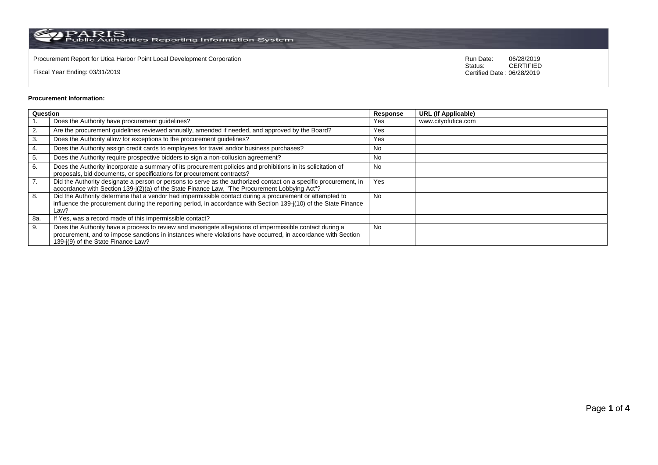$\rm PARS$  PARIS<br>Public Authorities Reporting Information System

Procurement Report for Utica Harbor Point Local Development Corporation **Run Date:** 196/28/2019 Run Date: 06/28/2019<br>Status: CERTIFIED

Fiscal Year Ending: 03/31/2019

CERTIFIED Certified Date : 06/28/2019

## **Procurement Information:**

| Question |                                                                                                                                                                                                                                                                 |           | <b>URL (If Applicable)</b> |
|----------|-----------------------------------------------------------------------------------------------------------------------------------------------------------------------------------------------------------------------------------------------------------------|-----------|----------------------------|
|          | Does the Authority have procurement guidelines?                                                                                                                                                                                                                 | Yes       | www.cityofutica.com        |
| 2.       | Are the procurement guidelines reviewed annually, amended if needed, and approved by the Board?                                                                                                                                                                 | Yes       |                            |
| 3.       | Does the Authority allow for exceptions to the procurement guidelines?                                                                                                                                                                                          | Yes       |                            |
| 4.       | Does the Authority assign credit cards to employees for travel and/or business purchases?                                                                                                                                                                       | No        |                            |
| 5.       | Does the Authority require prospective bidders to sign a non-collusion agreement?                                                                                                                                                                               | No        |                            |
| 6.       | Does the Authority incorporate a summary of its procurement policies and prohibitions in its solicitation of<br>proposals, bid documents, or specifications for procurement contracts?                                                                          | <b>No</b> |                            |
| 7.       | Did the Authority designate a person or persons to serve as the authorized contact on a specific procurement, in<br>accordance with Section 139-j(2)(a) of the State Finance Law, "The Procurement Lobbying Act"?                                               | Yes       |                            |
| 8.       | Did the Authority determine that a vendor had impermissible contact during a procurement or attempted to<br>influence the procurement during the reporting period, in accordance with Section 139-j(10) of the State Finance<br>Law?                            | <b>No</b> |                            |
| 8a.      | If Yes, was a record made of this impermissible contact?                                                                                                                                                                                                        |           |                            |
| 9.       | Does the Authority have a process to review and investigate allegations of impermissible contact during a<br>procurement, and to impose sanctions in instances where violations have occurred, in accordance with Section<br>139-j(9) of the State Finance Law? | <b>No</b> |                            |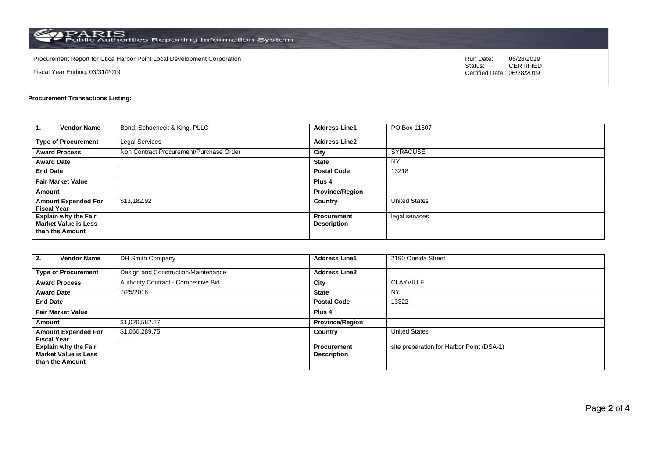$\rm PARS$  PARIS<br>Public Authorities Reporting Information System

Procurement Report for Utica Harbor Point Local Development Corporation **Run Date:** 196/28/2019 Run Date: 06/28/2019<br>Status: CERTIFIED

Fiscal Year Ending: 03/31/2019

CERTIFIED Certified Date : 06/28/2019

## **Procurement Transactions Listing:**

| <b>Vendor Name</b><br>-1.                                                     | Bond, Schoeneck & King, PLLC            | <b>Address Line1</b>                     | PO Box 11607         |
|-------------------------------------------------------------------------------|-----------------------------------------|------------------------------------------|----------------------|
| <b>Type of Procurement</b>                                                    | Legal Services                          | <b>Address Line2</b>                     |                      |
| <b>Award Process</b>                                                          | Non Contract Procurement/Purchase Order | City                                     | <b>SYRACUSE</b>      |
| <b>Award Date</b>                                                             |                                         | <b>State</b>                             | <b>NY</b>            |
| <b>End Date</b>                                                               |                                         | <b>Postal Code</b>                       | 13218                |
| <b>Fair Market Value</b>                                                      |                                         | Plus 4                                   |                      |
| Amount                                                                        |                                         | <b>Province/Region</b>                   |                      |
| <b>Amount Expended For</b><br><b>Fiscal Year</b>                              | \$13,182.92                             | Country                                  | <b>United States</b> |
| <b>Explain why the Fair</b><br><b>Market Value is Less</b><br>than the Amount |                                         | <b>Procurement</b><br><b>Description</b> | legal services       |

| <b>Vendor Name</b><br>2.                                                      | DH Smith Company                     | <b>Address Line1</b>              | 2190 Oneida Street                        |
|-------------------------------------------------------------------------------|--------------------------------------|-----------------------------------|-------------------------------------------|
| <b>Type of Procurement</b>                                                    | Design and Construction/Maintenance  | <b>Address Line2</b>              |                                           |
| <b>Award Process</b>                                                          | Authority Contract - Competitive Bid | City                              | <b>CLAYVILLE</b>                          |
| <b>Award Date</b>                                                             | 7/25/2018                            | <b>State</b>                      | <b>NY</b>                                 |
| <b>End Date</b>                                                               |                                      | <b>Postal Code</b>                | 13322                                     |
| <b>Fair Market Value</b>                                                      |                                      | Plus <sub>4</sub>                 |                                           |
| Amount                                                                        | \$1,020,582.27                       | <b>Province/Region</b>            |                                           |
| <b>Amount Expended For</b><br><b>Fiscal Year</b>                              | \$1,060,289.75                       | Country                           | <b>United States</b>                      |
| <b>Explain why the Fair</b><br><b>Market Value is Less</b><br>than the Amount |                                      | Procurement<br><b>Description</b> | site preparation for Harbor Point (DSA-1) |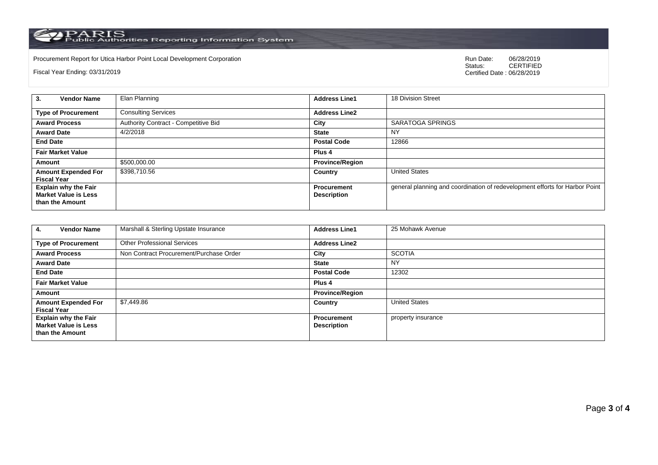PARIS<br>Public Authorities Reporting Information System

Procurement Report for Utica Harbor Point Local Development Corporation Run Date: 06/28/2019 Run Date: 06/28/2019 Run Date: 06/2019 Run Date: 06/2019 Run Date: 06/2019 Run Date: 06/2019 Run Date: 06/2019 Run Date: 06/2019

Fiscal Year Ending: 03/31/2019

06/28/2019<br>CERTIFIED Certified Date : 06/28/2019

| <b>Vendor Name</b><br>-3.   | Elan Planning                        | <b>Address Line1</b>   | 18 Division Street                                                          |
|-----------------------------|--------------------------------------|------------------------|-----------------------------------------------------------------------------|
|                             |                                      |                        |                                                                             |
| <b>Type of Procurement</b>  | <b>Consulting Services</b>           | <b>Address Line2</b>   |                                                                             |
| <b>Award Process</b>        | Authority Contract - Competitive Bid | City                   | SARATOGA SPRINGS                                                            |
| <b>Award Date</b>           | 4/2/2018                             | <b>State</b>           | <b>NY</b>                                                                   |
| <b>End Date</b>             |                                      | <b>Postal Code</b>     | 12866                                                                       |
| <b>Fair Market Value</b>    |                                      | Plus <sub>4</sub>      |                                                                             |
| Amount                      | \$500,000.00                         | <b>Province/Region</b> |                                                                             |
| <b>Amount Expended For</b>  | \$398,710.56                         | Country                | <b>United States</b>                                                        |
| <b>Fiscal Year</b>          |                                      |                        |                                                                             |
| <b>Explain why the Fair</b> |                                      | <b>Procurement</b>     | general planning and coordination of redevelopment efforts for Harbor Point |
| <b>Market Value is Less</b> |                                      | <b>Description</b>     |                                                                             |
| than the Amount             |                                      |                        |                                                                             |
|                             |                                      |                        |                                                                             |

| <b>Vendor Name</b><br>4.                                                      | Marshall & Sterling Upstate Insurance   | <b>Address Line1</b>                     | 25 Mohawk Avenue     |
|-------------------------------------------------------------------------------|-----------------------------------------|------------------------------------------|----------------------|
| <b>Type of Procurement</b>                                                    | <b>Other Professional Services</b>      | <b>Address Line2</b>                     |                      |
| <b>Award Process</b>                                                          | Non Contract Procurement/Purchase Order | City                                     | <b>SCOTIA</b>        |
| <b>Award Date</b>                                                             |                                         | <b>State</b>                             | <b>NY</b>            |
| <b>End Date</b>                                                               |                                         | <b>Postal Code</b>                       | 12302                |
| <b>Fair Market Value</b>                                                      |                                         | Plus 4                                   |                      |
| Amount                                                                        |                                         | <b>Province/Region</b>                   |                      |
| <b>Amount Expended For</b><br><b>Fiscal Year</b>                              | \$7.449.86                              | Country                                  | <b>United States</b> |
| <b>Explain why the Fair</b><br><b>Market Value is Less</b><br>than the Amount |                                         | <b>Procurement</b><br><b>Description</b> | property insurance   |